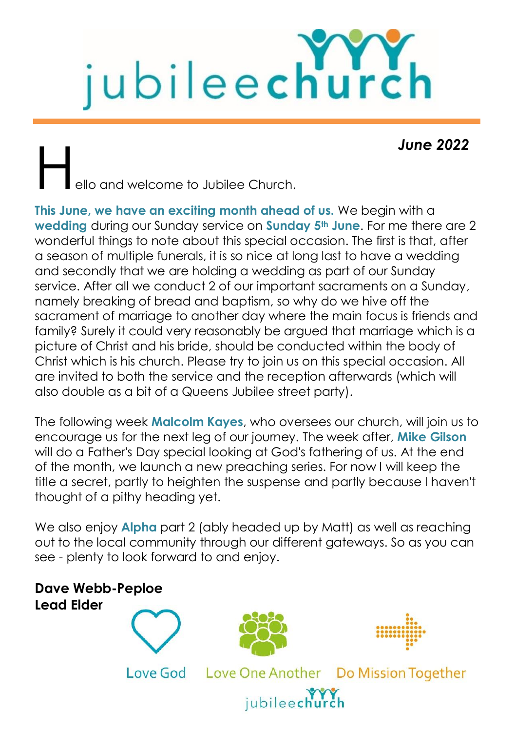

*June 2022*

Hello and welcome to Jubilee Church.

**This June, we have an exciting month ahead of us.** We begin with a **wedding** during our Sunday service on **Sunday 5th June**. For me there are 2 wonderful things to note about this special occasion. The first is that, after a season of multiple funerals, it is so nice at long last to have a wedding and secondly that we are holding a wedding as part of our Sunday service. After all we conduct 2 of our important sacraments on a Sunday, namely breaking of bread and baptism, so why do we hive off the sacrament of marriage to another day where the main focus is friends and family? Surely it could very reasonably be argued that marriage which is a picture of Christ and his bride, should be conducted within the body of Christ which is his church. Please try to join us on this special occasion. All are invited to both the service and the reception afterwards (which will also double as a bit of a Queens Jubilee street party).

The following week **Malcolm Kayes**, who oversees our church, will join us to encourage us for the next leg of our journey. The week after, **Mike Gilson** will do a Father's Day special looking at God's fathering of us. At the end of the month, we launch a new preaching series. For now I will keep the title a secret, partly to heighten the suspense and partly because I haven't thought of a pithy heading yet.

We also enjoy **Alpha** part 2 (ably headed up by Matt) as well as reaching out to the local community through our different gateways. So as you can see - plenty to look forward to and enjoy.

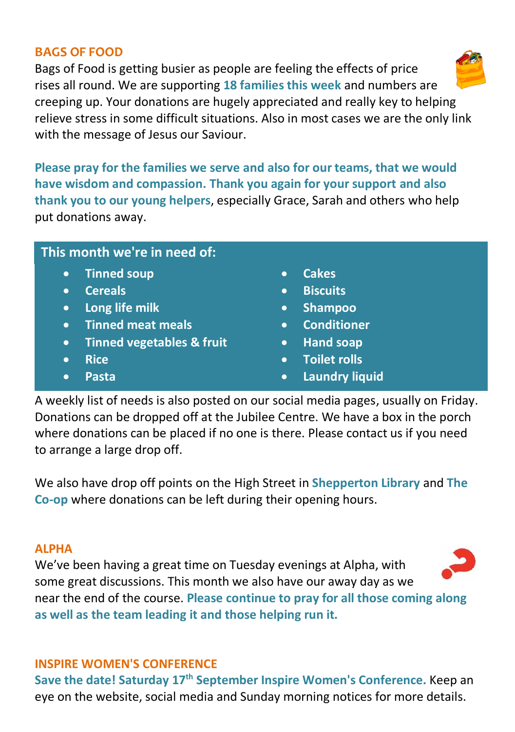# We've been having a great time on Tuesday evenings at Alpha, with some great discussions. This month we also have our away day as we near the end of the course. **Please continue to pray for all those coming along as well as the team leading it and those helping run it.**

# **INSPIRE WOMEN'S CONFERENCE**

**Save the date! Saturday 17th September Inspire Women's Conference.** Keep an eye on the website, social media and Sunday morning notices for more details.

## **BAGS OF FOOD**

Bags of Food is getting busier as people are feeling the effects of price rises all round. We are supporting **18 families this week** and numbers are creeping up. Your donations are hugely appreciated and really key to helping relieve stress in some difficult situations. Also in most cases we are the only link with the message of Jesus our Saviour.

**Please pray for the families we serve and also for our teams, that we would have wisdom and compassion. Thank you again for your support and also thank you to our young helpers**, especially Grace, Sarah and others who help put donations away.

# **This month we're in need of:**

- **•** Tinned soup
- **Cereals**
- **Long life milk**
- **Tinned meat meals**
- **Tinned vegetables & fruit**
- **•** Rice
- **Pasta**
- **Cakes**
- **e** Biscuits
- **Shampoo**
- **Conditioner**
- **Hand soap**
- **Toilet rolls**
- **Laundry liquid**

A weekly list of needs is also posted on our social media pages, usually on Friday. Donations can be dropped off at the Jubilee Centre. We have a box in the porch where donations can be placed if no one is there. Please contact us if you need to arrange a large drop off.

We also have drop off points on the High Street in **Shepperton Library** and **The Co-op** where donations can be left during their opening hours.

#### **ALPHA**



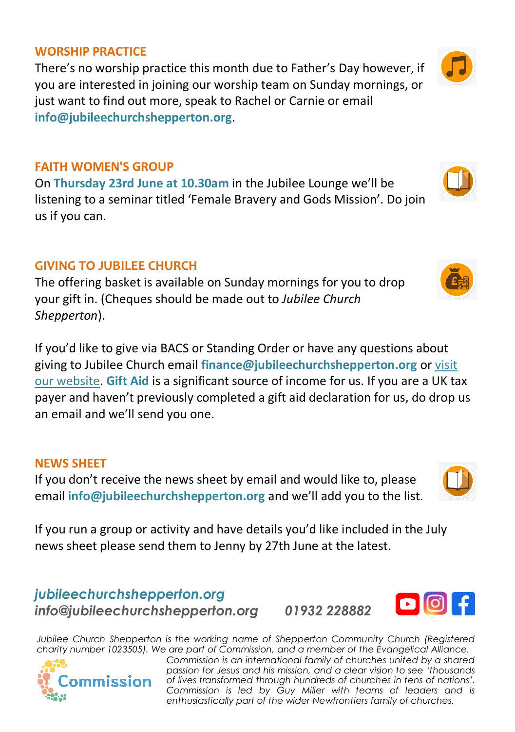*Commission is an international family of churches united by a shared passion for Jesus and his mission, and a clear vision to see 'thousands of lives transformed through hundreds of churches in tens of nations'. Commission is led by Guy Miller with teams of leaders and is enthusiastically part of the wider [Newfrontiers](https://newfrontierstogether.org/) family of churches.*

## **WORSHIP PRACTICE**

There's no worship practice this month due to Father's Day however, if you are interested in joining our worship team on Sunday mornings, or just want to find out more, speak to Rachel or Carnie or email **[info@jubileechurchshepperton.org](mailto:info@jubileechurchshepperton.org)**.

#### **FAITH WOMEN'S GROUP**

On **Thursday 23rd June at 10.30am** in the Jubilee Lounge we'll be listening to a seminar titled 'Female Bravery and Gods Mission'. Do join us if you can.

# **GIVING TO JUBILEE CHURCH**

The offering basket is available on Sunday mornings for you to drop your gift in. (Cheques should be made out to *Jubilee Church Shepperton*).

If you'd like to give via BACS or Standing Order or have any questions about giving to Jubilee Church email **[finance@jubileechurchshepperton.org](mailto:http://finance@jubileechurchshepperton.org)** or [visit](https://www.jubileechurchshepperton.org/Groups/343493/Giving.aspx)  [our website.](https://www.jubileechurchshepperton.org/Groups/343493/Giving.aspx) **Gift Aid** is a significant source of income for us. If you are a UK tax payer and haven't previously completed a gift aid declaration for us, do drop us an email and we'll send you one.

## **NEWS SHEET**

If you don't receive the news sheet by email and would like to, please email **[info@jubileechurchshepperton.org](mailto:info@jubileechurchshepperton.org)** and we'll add you to the list.

If you run a group or activity and have details you'd like included in the July news sheet please send them to Jenny by 27th June at the latest.

# *[jubileechurchshepperton.org](https://www.jubileechurchshepperton.org/)*

*info@jubileechurchshepperton.org 01932 228882*

*Jubilee Church Shepperton is the working name of Shepperton Community Church (Registered charity number 1023505). We are part of Commission, and a member of the Evangelical Alliance.*













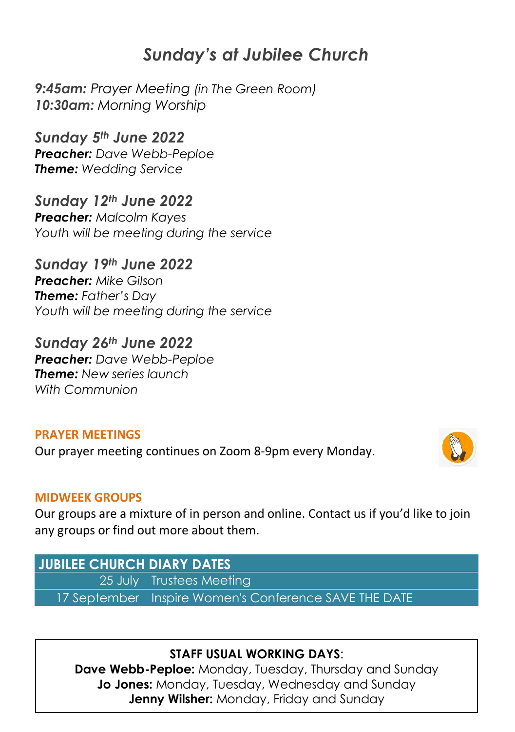# *Sunday's at Jubilee Church*

*9:45am: Prayer Meeting (in The Green Room) 10:30am: Morning Worship*

*Sunday 5th June 2022 Preacher: Dave Webb-Peploe Theme: Wedding Service*

*Sunday 12th June 2022 Preacher: Malcolm Kayes Youth will be meeting during the service*

*Sunday 19th June 2022 Preacher: Mike Gilson Theme: Father's Day Youth will be meeting during the service*

*Sunday 26th June 2022 Preacher: Dave Webb-Peploe Theme: New series launch With Communion*

## **PRAYER MEETINGS**

Our prayer meeting continues on Zoom 8-9pm every Monday.

#### **MIDWEEK GROUPS**

Our groups are a mixture of in person and online. Contact us if you'd like to join any groups or find out more about them.

**JUBILEE CHURCH DIARY DATES** 25 July Trustees Meeting 17 September Inspire Women's Conference SAVE THE DATE

# **STAFF USUAL WORKING DAYS**:

**Dave Webb-Peploe:** Monday, Tuesday, Thursday and Sunday **Jo Jones:** Monday, Tuesday, Wednesday and Sunday **Jenny Wilsher:** Monday, Friday and Sunday